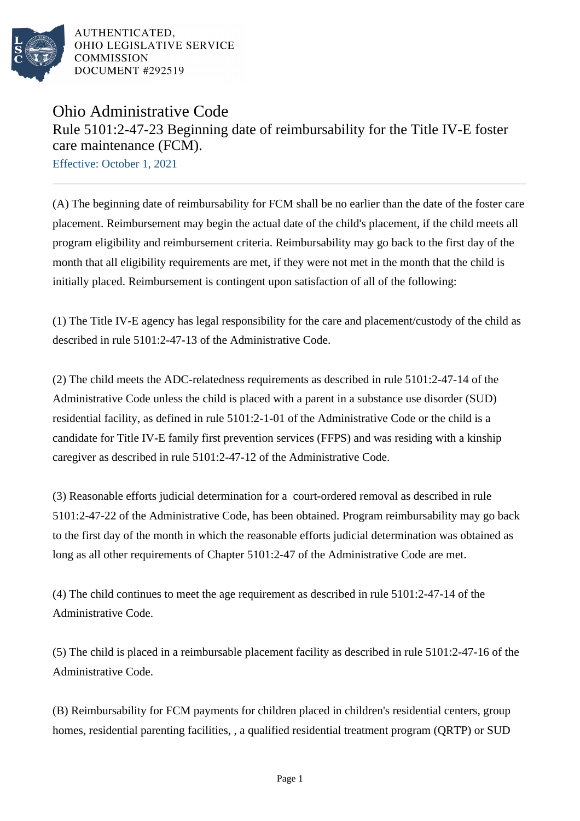

AUTHENTICATED. OHIO LEGISLATIVE SERVICE **COMMISSION** DOCUMENT #292519

## Ohio Administrative Code Rule 5101:2-47-23 Beginning date of reimbursability for the Title IV-E foster care maintenance (FCM).

Effective: October 1, 2021

(A) The beginning date of reimbursability for FCM shall be no earlier than the date of the foster care placement. Reimbursement may begin the actual date of the child's placement, if the child meets all program eligibility and reimbursement criteria. Reimbursability may go back to the first day of the month that all eligibility requirements are met, if they were not met in the month that the child is initially placed. Reimbursement is contingent upon satisfaction of all of the following:

(1) The Title IV-E agency has legal responsibility for the care and placement/custody of the child as described in rule 5101:2-47-13 of the Administrative Code.

(2) The child meets the ADC-relatedness requirements as described in rule 5101:2-47-14 of the Administrative Code unless the child is placed with a parent in a substance use disorder (SUD) residential facility, as defined in rule 5101:2-1-01 of the Administrative Code or the child is a candidate for Title IV-E family first prevention services (FFPS) and was residing with a kinship caregiver as described in rule 5101:2-47-12 of the Administrative Code.

(3) Reasonable efforts judicial determination for a court-ordered removal as described in rule 5101:2-47-22 of the Administrative Code, has been obtained. Program reimbursability may go back to the first day of the month in which the reasonable efforts judicial determination was obtained as long as all other requirements of Chapter 5101:2-47 of the Administrative Code are met.

(4) The child continues to meet the age requirement as described in rule 5101:2-47-14 of the Administrative Code.

(5) The child is placed in a reimbursable placement facility as described in rule 5101:2-47-16 of the Administrative Code.

(B) Reimbursability for FCM payments for children placed in children's residential centers, group homes, residential parenting facilities, , a qualified residential treatment program (QRTP) or SUD